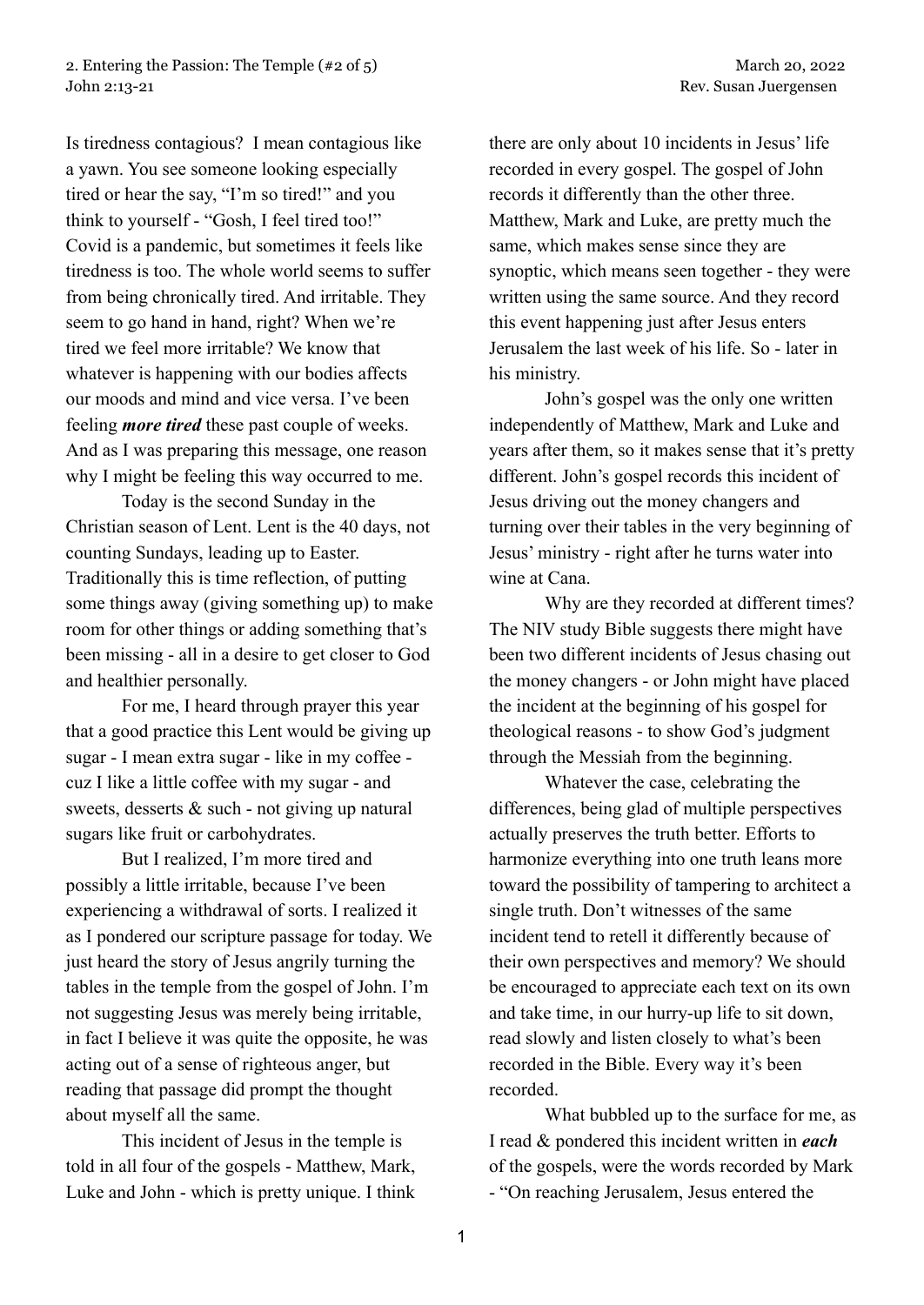Is tiredness contagious? I mean contagious like a yawn. You see someone looking especially tired or hear the say, "I'm so tired!" and you think to yourself - "Gosh, I feel tired too!" Covid is a pandemic, but sometimes it feels like tiredness is too. The whole world seems to suffer from being chronically tired. And irritable. They seem to go hand in hand, right? When we're tired we feel more irritable? We know that whatever is happening with our bodies affects our moods and mind and vice versa. I've been feeling *more tired* these past couple of weeks. And as I was preparing this message, one reason why I might be feeling this way occurred to me.

Today is the second Sunday in the Christian season of Lent. Lent is the 40 days, not counting Sundays, leading up to Easter. Traditionally this is time reflection, of putting some things away (giving something up) to make room for other things or adding something that's been missing - all in a desire to get closer to God and healthier personally.

For me, I heard through prayer this year that a good practice this Lent would be giving up sugar - I mean extra sugar - like in my coffee cuz I like a little coffee with my sugar - and sweets, desserts & such - not giving up natural sugars like fruit or carbohydrates.

But I realized, I'm more tired and possibly a little irritable, because I've been experiencing a withdrawal of sorts. I realized it as I pondered our scripture passage for today. We just heard the story of Jesus angrily turning the tables in the temple from the gospel of John. I'm not suggesting Jesus was merely being irritable, in fact I believe it was quite the opposite, he was acting out of a sense of righteous anger, but reading that passage did prompt the thought about myself all the same.

This incident of Jesus in the temple is told in all four of the gospels - Matthew, Mark, Luke and John - which is pretty unique. I think there are only about 10 incidents in Jesus' life recorded in every gospel. The gospel of John records it differently than the other three. Matthew, Mark and Luke, are pretty much the same, which makes sense since they are synoptic, which means seen together - they were written using the same source. And they record this event happening just after Jesus enters Jerusalem the last week of his life. So - later in his ministry.

John's gospel was the only one written independently of Matthew, Mark and Luke and years after them, so it makes sense that it's pretty different. John's gospel records this incident of Jesus driving out the money changers and turning over their tables in the very beginning of Jesus' ministry - right after he turns water into wine at Cana.

Why are they recorded at different times? The NIV study Bible suggests there might have been two different incidents of Jesus chasing out the money changers - or John might have placed the incident at the beginning of his gospel for theological reasons - to show God's judgment through the Messiah from the beginning.

Whatever the case, celebrating the differences, being glad of multiple perspectives actually preserves the truth better. Efforts to harmonize everything into one truth leans more toward the possibility of tampering to architect a single truth. Don't witnesses of the same incident tend to retell it differently because of their own perspectives and memory? We should be encouraged to appreciate each text on its own and take time, in our hurry-up life to sit down, read slowly and listen closely to what's been recorded in the Bible. Every way it's been recorded.

What bubbled up to the surface for me, as I read & pondered this incident written in *each* of the gospels, were the words recorded by Mark - "On reaching Jerusalem, Jesus entered the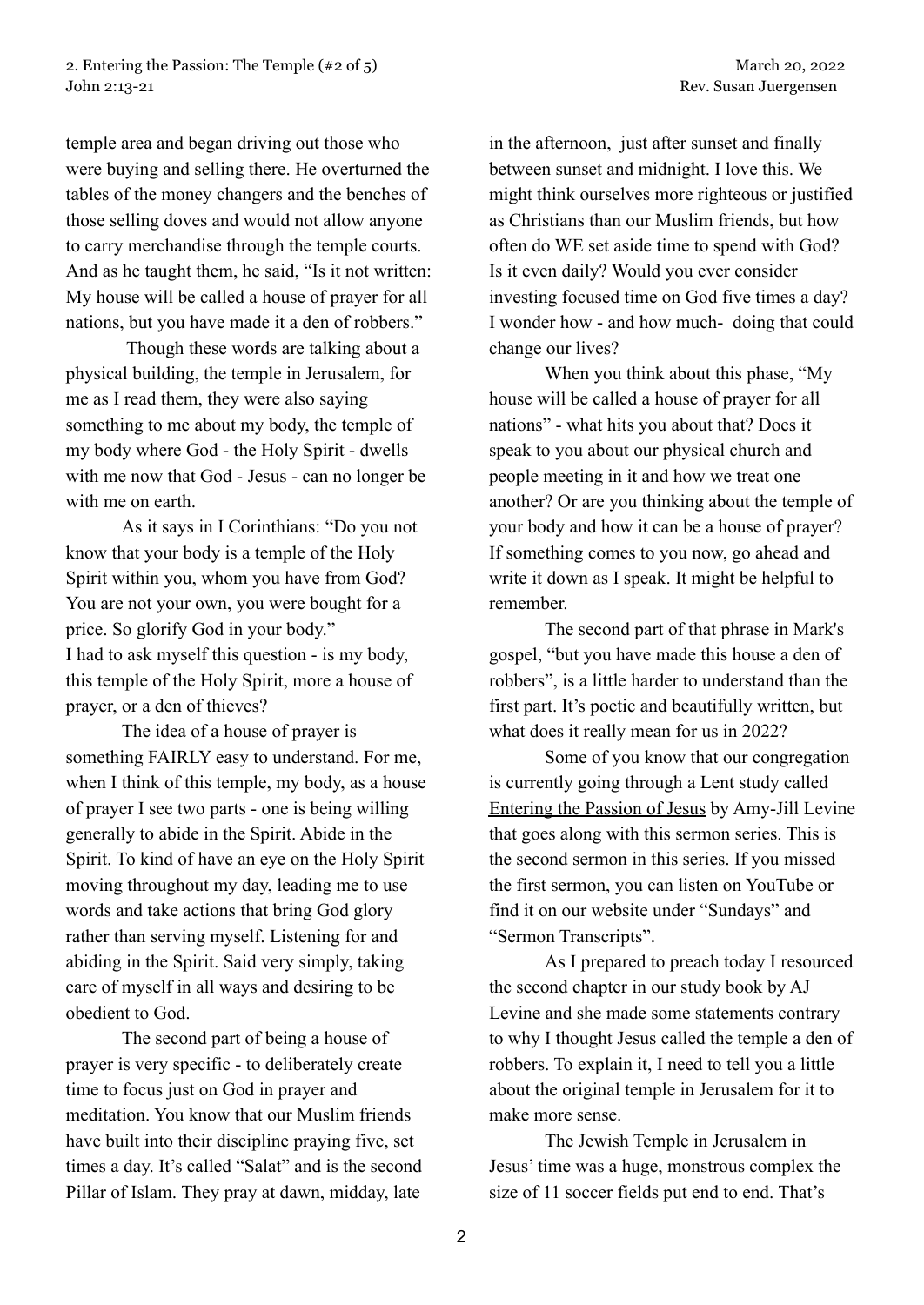temple area and began driving out those who were buying and selling there. He overturned the tables of the money changers and the benches of those selling doves and would not allow anyone to carry merchandise through the temple courts. And as he taught them, he said, "Is it not written: My house will be called a house of prayer for all nations, but you have made it a den of robbers."

Though these words are talking about a physical building, the temple in Jerusalem, for me as I read them, they were also saying something to me about my body, the temple of my body where God - the Holy Spirit - dwells with me now that God - Jesus - can no longer be with me on earth.

As it says in I Corinthians: "Do you not know that your body is a temple of the Holy Spirit within you, whom you have from God? You are not your own, you were bought for a price. So glorify God in your body." I had to ask myself this question - is my body, this temple of the Holy Spirit, more a house of prayer, or a den of thieves?

The idea of a house of prayer is something FAIRLY easy to understand. For me, when I think of this temple, my body, as a house of prayer I see two parts - one is being willing generally to abide in the Spirit. Abide in the Spirit. To kind of have an eye on the Holy Spirit moving throughout my day, leading me to use words and take actions that bring God glory rather than serving myself. Listening for and abiding in the Spirit. Said very simply, taking care of myself in all ways and desiring to be obedient to God.

The second part of being a house of prayer is very specific - to deliberately create time to focus just on God in prayer and meditation. You know that our Muslim friends have built into their discipline praying five, set times a day. It's called "Salat" and is the second Pillar of Islam. They pray at dawn, midday, late

in the afternoon, just after sunset and finally between sunset and midnight. I love this. We might think ourselves more righteous or justified as Christians than our Muslim friends, but how often do WE set aside time to spend with God? Is it even daily? Would you ever consider investing focused time on God five times a day? I wonder how - and how much- doing that could change our lives?

When you think about this phase, "My house will be called a house of prayer for all nations" - what hits you about that? Does it speak to you about our physical church and people meeting in it and how we treat one another? Or are you thinking about the temple of your body and how it can be a house of prayer? If something comes to you now, go ahead and write it down as I speak. It might be helpful to remember.

The second part of that phrase in Mark's gospel, "but you have made this house a den of robbers", is a little harder to understand than the first part. It's poetic and beautifully written, but what does it really mean for us in 2022?

Some of you know that our congregation is currently going through a Lent study called Entering the Passion of Jesus by Amy-Jill Levine that goes along with this sermon series. This is the second sermon in this series. If you missed the first sermon, you can listen on YouTube or find it on our website under "Sundays" and "Sermon Transcripts".

As I prepared to preach today I resourced the second chapter in our study book by AJ Levine and she made some statements contrary to why I thought Jesus called the temple a den of robbers. To explain it, I need to tell you a little about the original temple in Jerusalem for it to make more sense.

The Jewish Temple in Jerusalem in Jesus' time was a huge, monstrous complex the size of 11 soccer fields put end to end. That's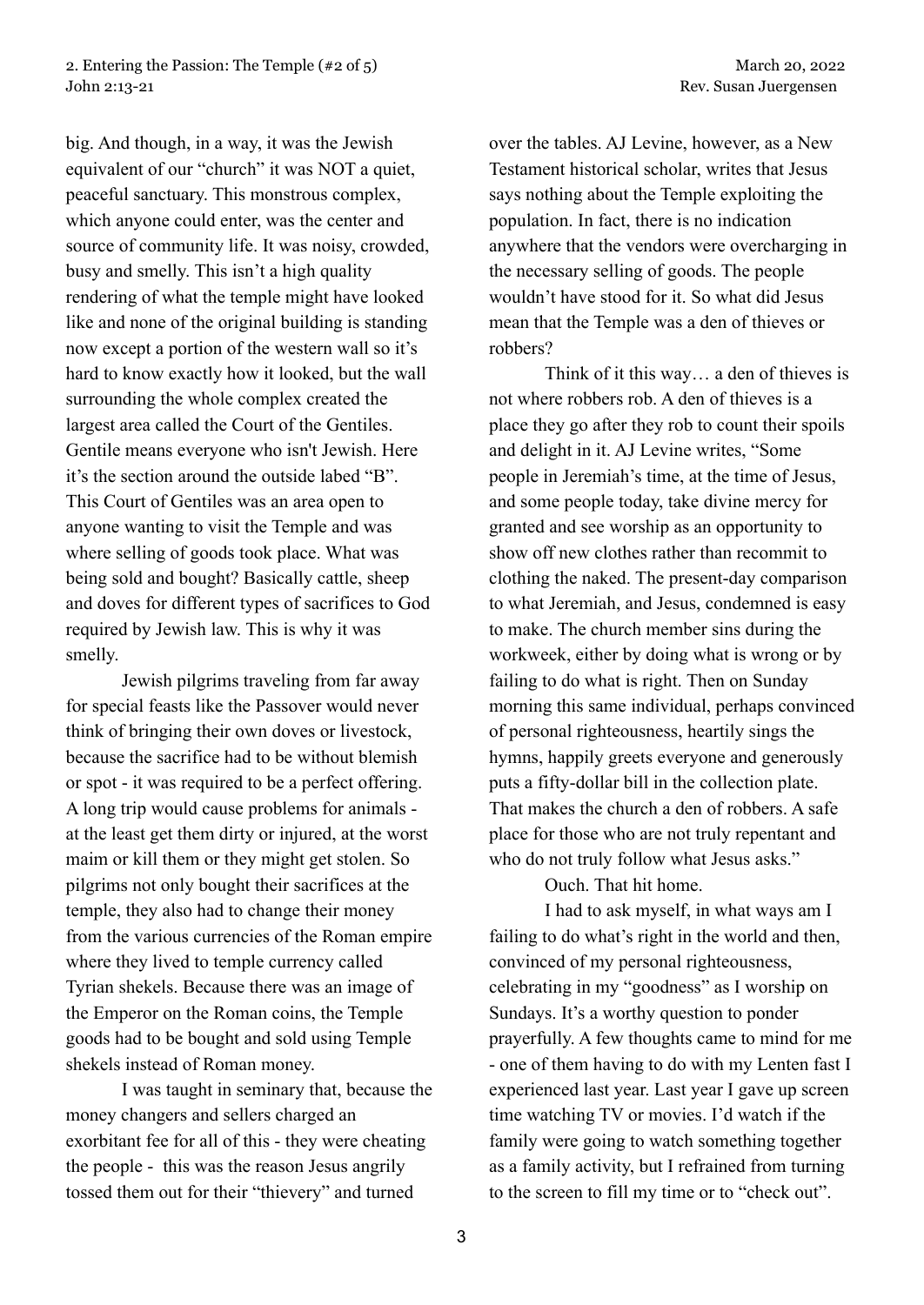big. And though, in a way, it was the Jewish equivalent of our "church" it was NOT a quiet, peaceful sanctuary. This monstrous complex, which anyone could enter, was the center and source of community life. It was noisy, crowded, busy and smelly. This isn't a high quality rendering of what the temple might have looked like and none of the original building is standing now except a portion of the western wall so it's hard to know exactly how it looked, but the wall surrounding the whole complex created the largest area called the Court of the Gentiles. Gentile means everyone who isn't Jewish. Here it's the section around the outside labed "B". This Court of Gentiles was an area open to anyone wanting to visit the Temple and was where selling of goods took place. What was being sold and bought? Basically cattle, sheep and doves for different types of sacrifices to God required by Jewish law. This is why it was smelly.

Jewish pilgrims traveling from far away for special feasts like the Passover would never think of bringing their own doves or livestock, because the sacrifice had to be without blemish or spot - it was required to be a perfect offering. A long trip would cause problems for animals at the least get them dirty or injured, at the worst maim or kill them or they might get stolen. So pilgrims not only bought their sacrifices at the temple, they also had to change their money from the various currencies of the Roman empire where they lived to temple currency called Tyrian shekels. Because there was an image of the Emperor on the Roman coins, the Temple goods had to be bought and sold using Temple shekels instead of Roman money.

I was taught in seminary that, because the money changers and sellers charged an exorbitant fee for all of this - they were cheating the people - this was the reason Jesus angrily tossed them out for their "thievery" and turned

over the tables. AJ Levine, however, as a New Testament historical scholar, writes that Jesus says nothing about the Temple exploiting the population. In fact, there is no indication anywhere that the vendors were overcharging in the necessary selling of goods. The people wouldn't have stood for it. So what did Jesus mean that the Temple was a den of thieves or robbers?

Think of it this way… a den of thieves is not where robbers rob. A den of thieves is a place they go after they rob to count their spoils and delight in it. AJ Levine writes, "Some people in Jeremiah's time, at the time of Jesus, and some people today, take divine mercy for granted and see worship as an opportunity to show off new clothes rather than recommit to clothing the naked. The present-day comparison to what Jeremiah, and Jesus, condemned is easy to make. The church member sins during the workweek, either by doing what is wrong or by failing to do what is right. Then on Sunday morning this same individual, perhaps convinced of personal righteousness, heartily sings the hymns, happily greets everyone and generously puts a fifty-dollar bill in the collection plate. That makes the church a den of robbers. A safe place for those who are not truly repentant and who do not truly follow what Jesus asks."

Ouch. That hit home.

I had to ask myself, in what ways am I failing to do what's right in the world and then, convinced of my personal righteousness, celebrating in my "goodness" as I worship on Sundays. It's a worthy question to ponder prayerfully. A few thoughts came to mind for me - one of them having to do with my Lenten fast I experienced last year. Last year I gave up screen time watching TV or movies. I'd watch if the family were going to watch something together as a family activity, but I refrained from turning to the screen to fill my time or to "check out".